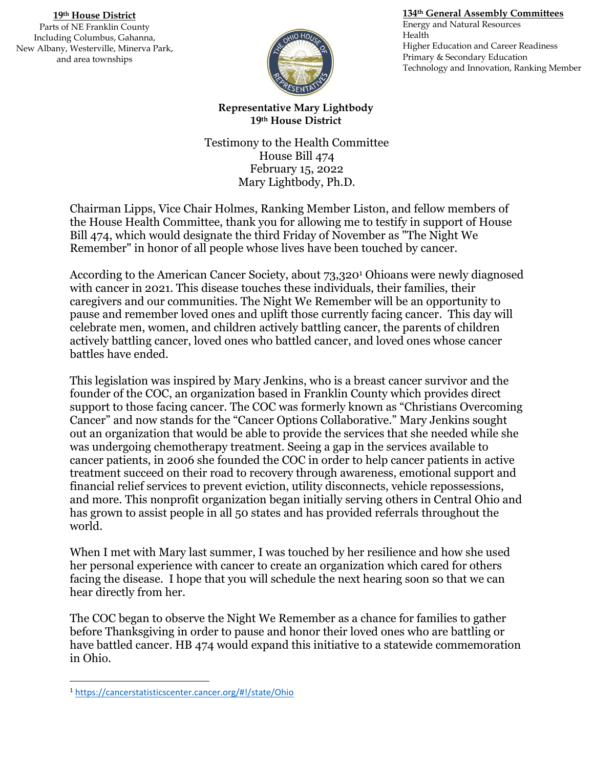## **19th House District**

Parts of NE Franklin County Including Columbus, Gahanna, New Albany, Westerville, Minerva Park, and area townships



## **134th General Assembly Committees**

Energy and Natural Resources Health Higher Education and Career Readiness Primary & Secondary Education Technology and Innovation, Ranking Member

## **Representative Mary Lightbody 19th House District**

Testimony to the Health Committee House Bill 474 February 15, 2022 Mary Lightbody, Ph.D.

Chairman Lipps, Vice Chair Holmes, Ranking Member Liston, and fellow members of the House Health Committee, thank you for allowing me to testify in support of House Bill 474, which would designate the third Friday of November as "The Night We Remember" in honor of all people whose lives have been touched by cancer.

According to the American Cancer Society, about 73,320<sup>1</sup> Ohioans were newly diagnosed with cancer in 2021. This disease touches these individuals, their families, their caregivers and our communities. The Night We Remember will be an opportunity to pause and remember loved ones and uplift those currently facing cancer. This day will celebrate men, women, and children actively battling cancer, the parents of children actively battling cancer, loved ones who battled cancer, and loved ones whose cancer battles have ended.

This legislation was inspired by Mary Jenkins, who is a breast cancer survivor and the founder of the COC, an organization based in Franklin County which provides direct support to those facing cancer. The COC was formerly known as "Christians Overcoming Cancer" and now stands for the "Cancer Options Collaborative." Mary Jenkins sought out an organization that would be able to provide the services that she needed while she was undergoing chemotherapy treatment. Seeing a gap in the services available to cancer patients, in 2006 she founded the COC in order to help cancer patients in active treatment succeed on their road to recovery through awareness, emotional support and financial relief services to prevent eviction, utility disconnects, vehicle repossessions, and more. This nonprofit organization began initially serving others in Central Ohio and has grown to assist people in all 50 states and has provided referrals throughout the world.

When I met with Mary last summer, I was touched by her resilience and how she used her personal experience with cancer to create an organization which cared for others facing the disease. I hope that you will schedule the next hearing soon so that we can hear directly from her.

The COC began to observe the Night We Remember as a chance for families to gather before Thanksgiving in order to pause and honor their loved ones who are battling or have battled cancer. HB 474 would expand this initiative to a statewide commemoration in Ohio.

 $\overline{a}$ 

<sup>1</sup> <https://cancerstatisticscenter.cancer.org/#!/state/Ohio>